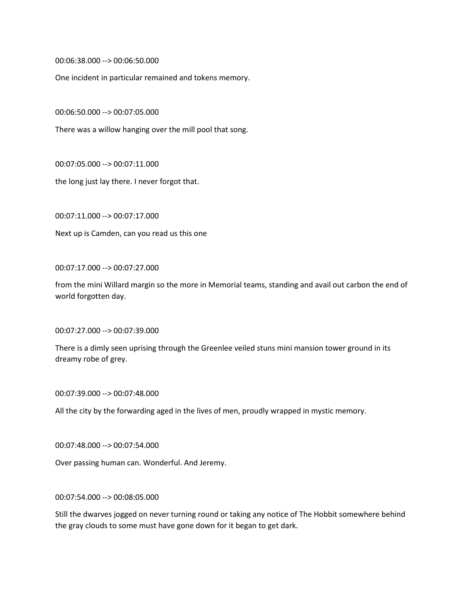00:06:38.000 --> 00:06:50.000

One incident in particular remained and tokens memory.

00:06:50.000 --> 00:07:05.000

There was a willow hanging over the mill pool that song.

00:07:05.000 --> 00:07:11.000

the long just lay there. I never forgot that.

00:07:11.000 --> 00:07:17.000

Next up is Camden, can you read us this one

00:07:17.000 --> 00:07:27.000

from the mini Willard margin so the more in Memorial teams, standing and avail out carbon the end of world forgotten day.

00:07:27.000 --> 00:07:39.000

There is a dimly seen uprising through the Greenlee veiled stuns mini mansion tower ground in its dreamy robe of grey.

00:07:39.000 --> 00:07:48.000

All the city by the forwarding aged in the lives of men, proudly wrapped in mystic memory.

00:07:48.000 --> 00:07:54.000

Over passing human can. Wonderful. And Jeremy.

00:07:54.000 --> 00:08:05.000

Still the dwarves jogged on never turning round or taking any notice of The Hobbit somewhere behind the gray clouds to some must have gone down for it began to get dark.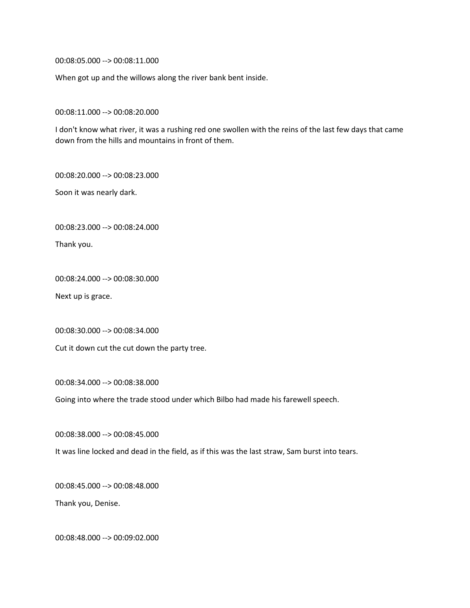00:08:05.000 --> 00:08:11.000

When got up and the willows along the river bank bent inside.

00:08:11.000 --> 00:08:20.000

I don't know what river, it was a rushing red one swollen with the reins of the last few days that came down from the hills and mountains in front of them.

00:08:20.000 --> 00:08:23.000

Soon it was nearly dark.

00:08:23.000 --> 00:08:24.000

Thank you.

00:08:24.000 --> 00:08:30.000

Next up is grace.

00:08:30.000 --> 00:08:34.000

Cut it down cut the cut down the party tree.

00:08:34.000 --> 00:08:38.000

Going into where the trade stood under which Bilbo had made his farewell speech.

00:08:38.000 --> 00:08:45.000

It was line locked and dead in the field, as if this was the last straw, Sam burst into tears.

00:08:45.000 --> 00:08:48.000

Thank you, Denise.

00:08:48.000 --> 00:09:02.000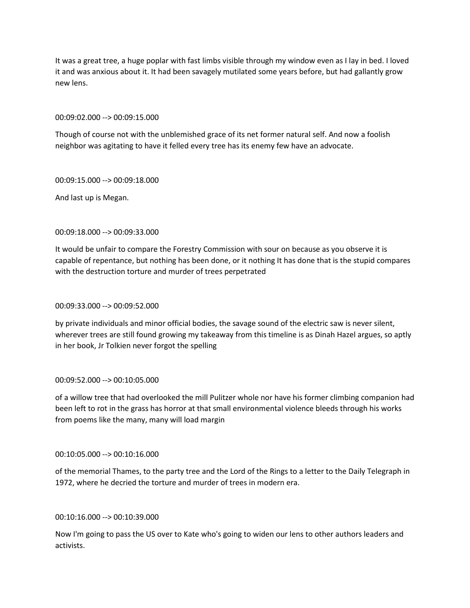It was a great tree, a huge poplar with fast limbs visible through my window even as I lay in bed. I loved it and was anxious about it. It had been savagely mutilated some years before, but had gallantly grow new lens.

00:09:02.000 --> 00:09:15.000

Though of course not with the unblemished grace of its net former natural self. And now a foolish neighbor was agitating to have it felled every tree has its enemy few have an advocate.

00:09:15.000 --> 00:09:18.000

And last up is Megan.

## 00:09:18.000 --> 00:09:33.000

It would be unfair to compare the Forestry Commission with sour on because as you observe it is capable of repentance, but nothing has been done, or it nothing It has done that is the stupid compares with the destruction torture and murder of trees perpetrated

#### 00:09:33.000 --> 00:09:52.000

by private individuals and minor official bodies, the savage sound of the electric saw is never silent, wherever trees are still found growing my takeaway from this timeline is as Dinah Hazel argues, so aptly in her book, Jr Tolkien never forgot the spelling

#### 00:09:52.000 --> 00:10:05.000

of a willow tree that had overlooked the mill Pulitzer whole nor have his former climbing companion had been left to rot in the grass has horror at that small environmental violence bleeds through his works from poems like the many, many will load margin

### 00:10:05.000 --> 00:10:16.000

of the memorial Thames, to the party tree and the Lord of the Rings to a letter to the Daily Telegraph in 1972, where he decried the torture and murder of trees in modern era.

## 00:10:16.000 --> 00:10:39.000

Now I'm going to pass the US over to Kate who's going to widen our lens to other authors leaders and activists.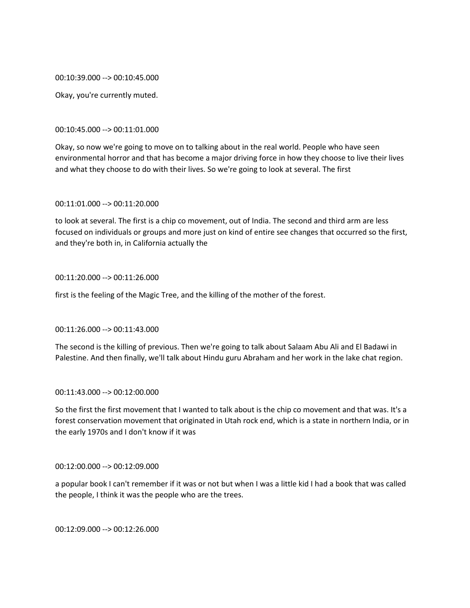00:10:39.000 --> 00:10:45.000

Okay, you're currently muted.

#### 00:10:45.000 --> 00:11:01.000

Okay, so now we're going to move on to talking about in the real world. People who have seen environmental horror and that has become a major driving force in how they choose to live their lives and what they choose to do with their lives. So we're going to look at several. The first

### 00:11:01.000 --> 00:11:20.000

to look at several. The first is a chip co movement, out of India. The second and third arm are less focused on individuals or groups and more just on kind of entire see changes that occurred so the first, and they're both in, in California actually the

#### 00:11:20.000 --> 00:11:26.000

first is the feeling of the Magic Tree, and the killing of the mother of the forest.

## 00:11:26.000 --> 00:11:43.000

The second is the killing of previous. Then we're going to talk about Salaam Abu Ali and El Badawi in Palestine. And then finally, we'll talk about Hindu guru Abraham and her work in the lake chat region.

## 00:11:43.000 --> 00:12:00.000

So the first the first movement that I wanted to talk about is the chip co movement and that was. It's a forest conservation movement that originated in Utah rock end, which is a state in northern India, or in the early 1970s and I don't know if it was

### 00:12:00.000 --> 00:12:09.000

a popular book I can't remember if it was or not but when I was a little kid I had a book that was called the people, I think it was the people who are the trees.

00:12:09.000 --> 00:12:26.000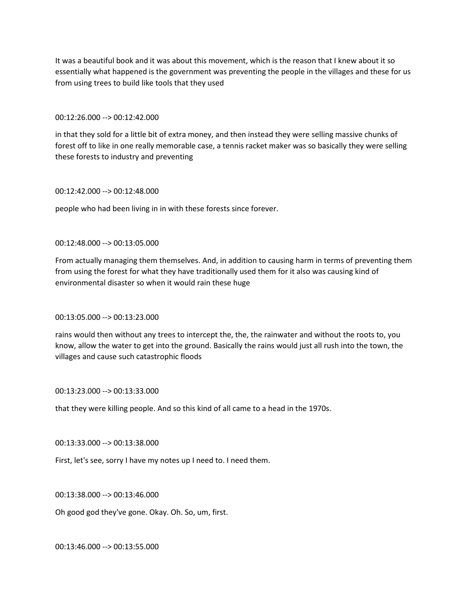It was a beautiful book and it was about this movement, which is the reason that I knew about it so essentially what happened is the government was preventing the people in the villages and these for us from using trees to build like tools that they used

### 00:12:26.000 --> 00:12:42.000

in that they sold for a little bit of extra money, and then instead they were selling massive chunks of forest off to like in one really memorable case, a tennis racket maker was so basically they were selling these forests to industry and preventing

#### 00:12:42.000 --> 00:12:48.000

people who had been living in in with these forests since forever.

#### 00:12:48.000 --> 00:13:05.000

From actually managing them themselves. And, in addition to causing harm in terms of preventing them from using the forest for what they have traditionally used them for it also was causing kind of environmental disaster so when it would rain these huge

### 00:13:05.000 --> 00:13:23.000

rains would then without any trees to intercept the, the, the rainwater and without the roots to, you know, allow the water to get into the ground. Basically the rains would just all rush into the town, the villages and cause such catastrophic floods

#### 00:13:23.000 --> 00:13:33.000

that they were killing people. And so this kind of all came to a head in the 1970s.

### 00:13:33.000 --> 00:13:38.000

First, let's see, sorry I have my notes up I need to. I need them.

#### 00:13:38.000 --> 00:13:46.000

Oh good god they've gone. Okay. Oh. So, um, first.

00:13:46.000 --> 00:13:55.000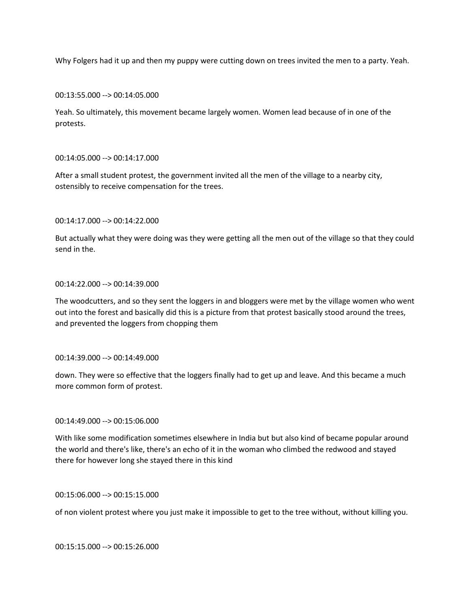Why Folgers had it up and then my puppy were cutting down on trees invited the men to a party. Yeah.

00:13:55.000 --> 00:14:05.000

Yeah. So ultimately, this movement became largely women. Women lead because of in one of the protests.

### 00:14:05.000 --> 00:14:17.000

After a small student protest, the government invited all the men of the village to a nearby city, ostensibly to receive compensation for the trees.

00:14:17.000 --> 00:14:22.000

But actually what they were doing was they were getting all the men out of the village so that they could send in the.

#### 00:14:22.000 --> 00:14:39.000

The woodcutters, and so they sent the loggers in and bloggers were met by the village women who went out into the forest and basically did this is a picture from that protest basically stood around the trees, and prevented the loggers from chopping them

00:14:39.000 --> 00:14:49.000

down. They were so effective that the loggers finally had to get up and leave. And this became a much more common form of protest.

### 00:14:49.000 --> 00:15:06.000

With like some modification sometimes elsewhere in India but but also kind of became popular around the world and there's like, there's an echo of it in the woman who climbed the redwood and stayed there for however long she stayed there in this kind

00:15:06.000 --> 00:15:15.000

of non violent protest where you just make it impossible to get to the tree without, without killing you.

00:15:15.000 --> 00:15:26.000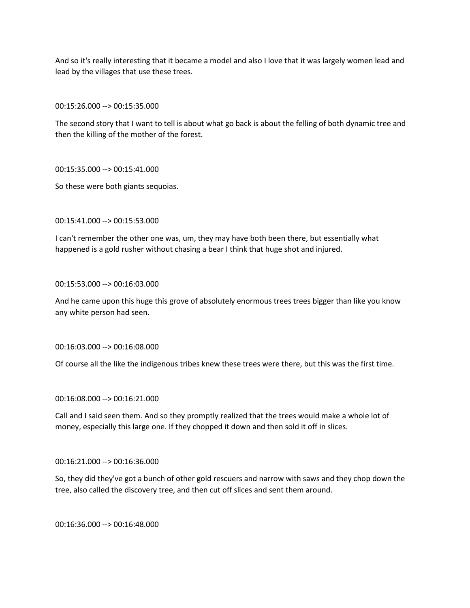And so it's really interesting that it became a model and also I love that it was largely women lead and lead by the villages that use these trees.

00:15:26.000 --> 00:15:35.000

The second story that I want to tell is about what go back is about the felling of both dynamic tree and then the killing of the mother of the forest.

00:15:35.000 --> 00:15:41.000

So these were both giants sequoias.

00:15:41.000 --> 00:15:53.000

I can't remember the other one was, um, they may have both been there, but essentially what happened is a gold rusher without chasing a bear I think that huge shot and injured.

00:15:53.000 --> 00:16:03.000

And he came upon this huge this grove of absolutely enormous trees trees bigger than like you know any white person had seen.

00:16:03.000 --> 00:16:08.000

Of course all the like the indigenous tribes knew these trees were there, but this was the first time.

00:16:08.000 --> 00:16:21.000

Call and I said seen them. And so they promptly realized that the trees would make a whole lot of money, especially this large one. If they chopped it down and then sold it off in slices.

00:16:21.000 --> 00:16:36.000

So, they did they've got a bunch of other gold rescuers and narrow with saws and they chop down the tree, also called the discovery tree, and then cut off slices and sent them around.

00:16:36.000 --> 00:16:48.000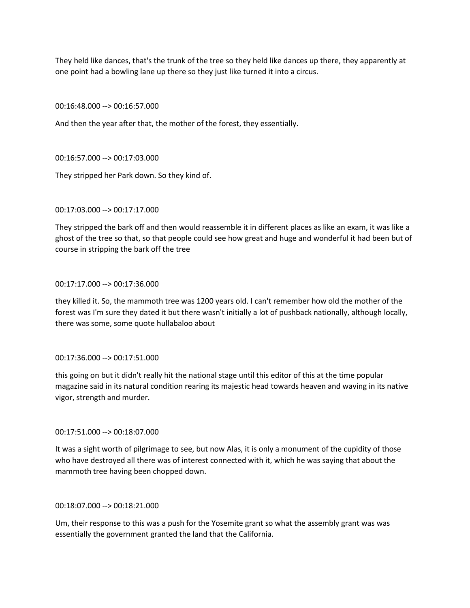They held like dances, that's the trunk of the tree so they held like dances up there, they apparently at one point had a bowling lane up there so they just like turned it into a circus.

00:16:48.000 --> 00:16:57.000

And then the year after that, the mother of the forest, they essentially.

00:16:57.000 --> 00:17:03.000

They stripped her Park down. So they kind of.

00:17:03.000 --> 00:17:17.000

They stripped the bark off and then would reassemble it in different places as like an exam, it was like a ghost of the tree so that, so that people could see how great and huge and wonderful it had been but of course in stripping the bark off the tree

### 00:17:17.000 --> 00:17:36.000

they killed it. So, the mammoth tree was 1200 years old. I can't remember how old the mother of the forest was I'm sure they dated it but there wasn't initially a lot of pushback nationally, although locally, there was some, some quote hullabaloo about

00:17:36.000 --> 00:17:51.000

this going on but it didn't really hit the national stage until this editor of this at the time popular magazine said in its natural condition rearing its majestic head towards heaven and waving in its native vigor, strength and murder.

### 00:17:51.000 --> 00:18:07.000

It was a sight worth of pilgrimage to see, but now Alas, it is only a monument of the cupidity of those who have destroyed all there was of interest connected with it, which he was saying that about the mammoth tree having been chopped down.

# 00:18:07.000 --> 00:18:21.000

Um, their response to this was a push for the Yosemite grant so what the assembly grant was was essentially the government granted the land that the California.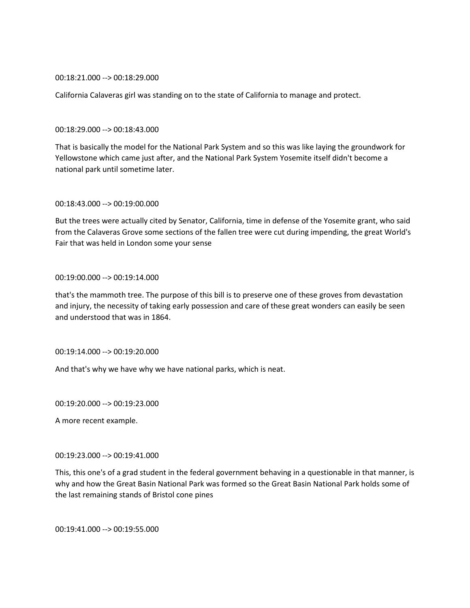#### 00:18:21.000 --> 00:18:29.000

California Calaveras girl was standing on to the state of California to manage and protect.

#### 00:18:29.000 --> 00:18:43.000

That is basically the model for the National Park System and so this was like laying the groundwork for Yellowstone which came just after, and the National Park System Yosemite itself didn't become a national park until sometime later.

## 00:18:43.000 --> 00:19:00.000

But the trees were actually cited by Senator, California, time in defense of the Yosemite grant, who said from the Calaveras Grove some sections of the fallen tree were cut during impending, the great World's Fair that was held in London some your sense

#### 00:19:00.000 --> 00:19:14.000

that's the mammoth tree. The purpose of this bill is to preserve one of these groves from devastation and injury, the necessity of taking early possession and care of these great wonders can easily be seen and understood that was in 1864.

### 00:19:14.000 --> 00:19:20.000

And that's why we have why we have national parks, which is neat.

00:19:20.000 --> 00:19:23.000

A more recent example.

### 00:19:23.000 --> 00:19:41.000

This, this one's of a grad student in the federal government behaving in a questionable in that manner, is why and how the Great Basin National Park was formed so the Great Basin National Park holds some of the last remaining stands of Bristol cone pines

00:19:41.000 --> 00:19:55.000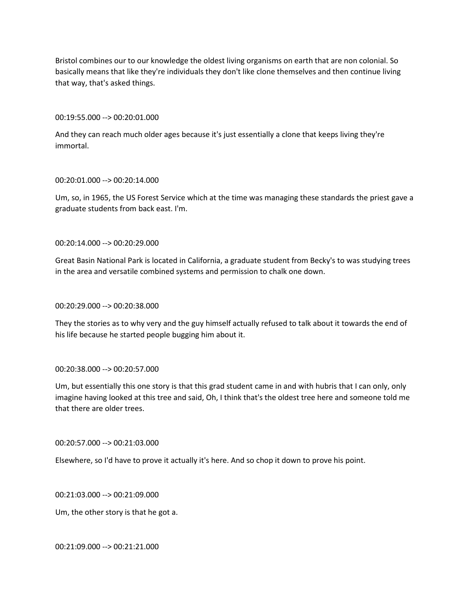Bristol combines our to our knowledge the oldest living organisms on earth that are non colonial. So basically means that like they're individuals they don't like clone themselves and then continue living that way, that's asked things.

### 00:19:55.000 --> 00:20:01.000

And they can reach much older ages because it's just essentially a clone that keeps living they're immortal.

## 00:20:01.000 --> 00:20:14.000

Um, so, in 1965, the US Forest Service which at the time was managing these standards the priest gave a graduate students from back east. I'm.

00:20:14.000 --> 00:20:29.000

Great Basin National Park is located in California, a graduate student from Becky's to was studying trees in the area and versatile combined systems and permission to chalk one down.

## 00:20:29.000 --> 00:20:38.000

They the stories as to why very and the guy himself actually refused to talk about it towards the end of his life because he started people bugging him about it.

# 00:20:38.000 --> 00:20:57.000

Um, but essentially this one story is that this grad student came in and with hubris that I can only, only imagine having looked at this tree and said, Oh, I think that's the oldest tree here and someone told me that there are older trees.

# 00:20:57.000 --> 00:21:03.000

Elsewhere, so I'd have to prove it actually it's here. And so chop it down to prove his point.

00:21:03.000 --> 00:21:09.000

Um, the other story is that he got a.

00:21:09.000 --> 00:21:21.000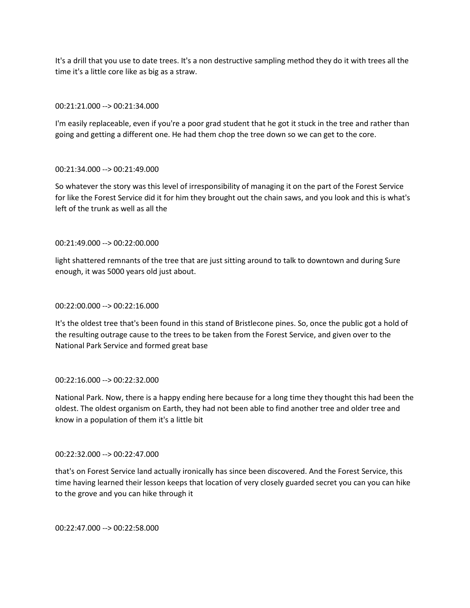It's a drill that you use to date trees. It's a non destructive sampling method they do it with trees all the time it's a little core like as big as a straw.

## 00:21:21.000 --> 00:21:34.000

I'm easily replaceable, even if you're a poor grad student that he got it stuck in the tree and rather than going and getting a different one. He had them chop the tree down so we can get to the core.

## 00:21:34.000 --> 00:21:49.000

So whatever the story was this level of irresponsibility of managing it on the part of the Forest Service for like the Forest Service did it for him they brought out the chain saws, and you look and this is what's left of the trunk as well as all the

## 00:21:49.000 --> 00:22:00.000

light shattered remnants of the tree that are just sitting around to talk to downtown and during Sure enough, it was 5000 years old just about.

### 00:22:00.000 --> 00:22:16.000

It's the oldest tree that's been found in this stand of Bristlecone pines. So, once the public got a hold of the resulting outrage cause to the trees to be taken from the Forest Service, and given over to the National Park Service and formed great base

### 00:22:16.000 --> 00:22:32.000

National Park. Now, there is a happy ending here because for a long time they thought this had been the oldest. The oldest organism on Earth, they had not been able to find another tree and older tree and know in a population of them it's a little bit

### 00:22:32.000 --> 00:22:47.000

that's on Forest Service land actually ironically has since been discovered. And the Forest Service, this time having learned their lesson keeps that location of very closely guarded secret you can you can hike to the grove and you can hike through it

00:22:47.000 --> 00:22:58.000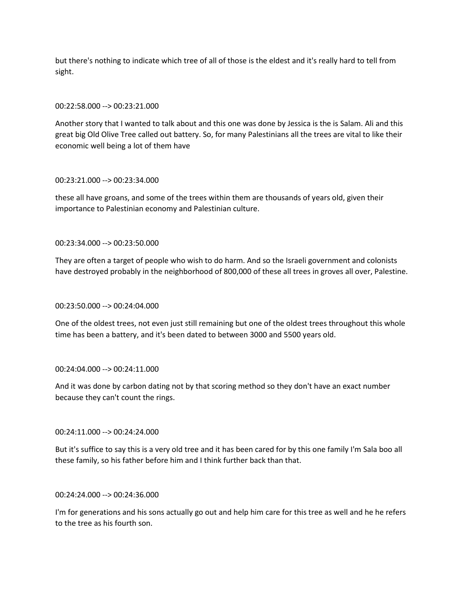but there's nothing to indicate which tree of all of those is the eldest and it's really hard to tell from sight.

## 00:22:58.000 --> 00:23:21.000

Another story that I wanted to talk about and this one was done by Jessica is the is Salam. Ali and this great big Old Olive Tree called out battery. So, for many Palestinians all the trees are vital to like their economic well being a lot of them have

### 00:23:21.000 --> 00:23:34.000

these all have groans, and some of the trees within them are thousands of years old, given their importance to Palestinian economy and Palestinian culture.

## 00:23:34.000 --> 00:23:50.000

They are often a target of people who wish to do harm. And so the Israeli government and colonists have destroyed probably in the neighborhood of 800,000 of these all trees in groves all over, Palestine.

### 00:23:50.000 --> 00:24:04.000

One of the oldest trees, not even just still remaining but one of the oldest trees throughout this whole time has been a battery, and it's been dated to between 3000 and 5500 years old.

# 00:24:04.000 --> 00:24:11.000

And it was done by carbon dating not by that scoring method so they don't have an exact number because they can't count the rings.

### 00:24:11.000 --> 00:24:24.000

But it's suffice to say this is a very old tree and it has been cared for by this one family I'm Sala boo all these family, so his father before him and I think further back than that.

### 00:24:24.000 --> 00:24:36.000

I'm for generations and his sons actually go out and help him care for this tree as well and he he refers to the tree as his fourth son.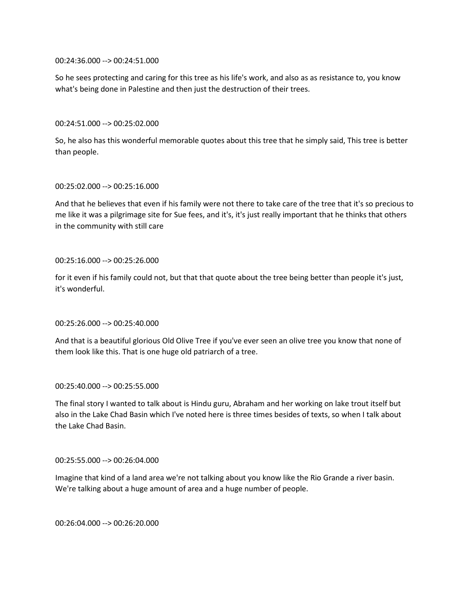00:24:36.000 --> 00:24:51.000

So he sees protecting and caring for this tree as his life's work, and also as as resistance to, you know what's being done in Palestine and then just the destruction of their trees.

00:24:51.000 --> 00:25:02.000

So, he also has this wonderful memorable quotes about this tree that he simply said, This tree is better than people.

#### 00:25:02.000 --> 00:25:16.000

And that he believes that even if his family were not there to take care of the tree that it's so precious to me like it was a pilgrimage site for Sue fees, and it's, it's just really important that he thinks that others in the community with still care

#### 00:25:16.000 --> 00:25:26.000

for it even if his family could not, but that that quote about the tree being better than people it's just, it's wonderful.

### 00:25:26.000 --> 00:25:40.000

And that is a beautiful glorious Old Olive Tree if you've ever seen an olive tree you know that none of them look like this. That is one huge old patriarch of a tree.

### 00:25:40.000 --> 00:25:55.000

The final story I wanted to talk about is Hindu guru, Abraham and her working on lake trout itself but also in the Lake Chad Basin which I've noted here is three times besides of texts, so when I talk about the Lake Chad Basin.

00:25:55.000 --> 00:26:04.000

Imagine that kind of a land area we're not talking about you know like the Rio Grande a river basin. We're talking about a huge amount of area and a huge number of people.

00:26:04.000 --> 00:26:20.000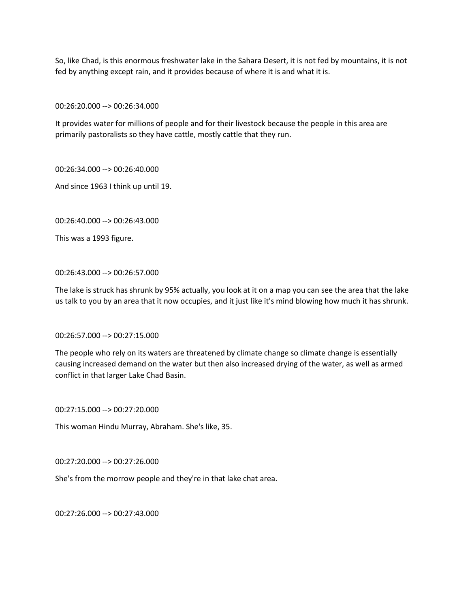So, like Chad, is this enormous freshwater lake in the Sahara Desert, it is not fed by mountains, it is not fed by anything except rain, and it provides because of where it is and what it is.

00:26:20.000 --> 00:26:34.000

It provides water for millions of people and for their livestock because the people in this area are primarily pastoralists so they have cattle, mostly cattle that they run.

00:26:34.000 --> 00:26:40.000

And since 1963 I think up until 19.

00:26:40.000 --> 00:26:43.000

This was a 1993 figure.

## 00:26:43.000 --> 00:26:57.000

The lake is struck has shrunk by 95% actually, you look at it on a map you can see the area that the lake us talk to you by an area that it now occupies, and it just like it's mind blowing how much it has shrunk.

00:26:57.000 --> 00:27:15.000

The people who rely on its waters are threatened by climate change so climate change is essentially causing increased demand on the water but then also increased drying of the water, as well as armed conflict in that larger Lake Chad Basin.

00:27:15.000 --> 00:27:20.000

This woman Hindu Murray, Abraham. She's like, 35.

00:27:20.000 --> 00:27:26.000

She's from the morrow people and they're in that lake chat area.

00:27:26.000 --> 00:27:43.000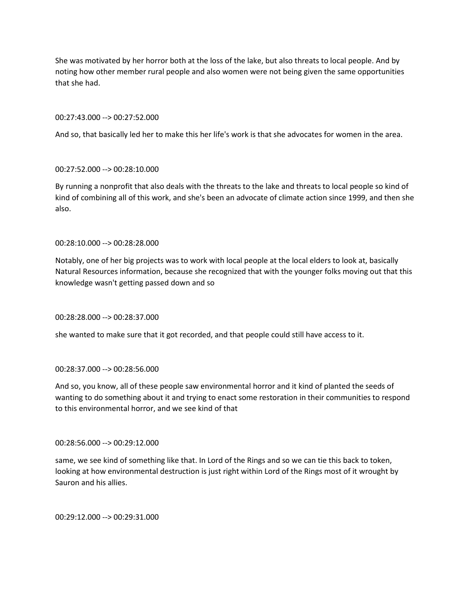She was motivated by her horror both at the loss of the lake, but also threats to local people. And by noting how other member rural people and also women were not being given the same opportunities that she had.

### 00:27:43.000 --> 00:27:52.000

And so, that basically led her to make this her life's work is that she advocates for women in the area.

## 00:27:52.000 --> 00:28:10.000

By running a nonprofit that also deals with the threats to the lake and threats to local people so kind of kind of combining all of this work, and she's been an advocate of climate action since 1999, and then she also.

## 00:28:10.000 --> 00:28:28.000

Notably, one of her big projects was to work with local people at the local elders to look at, basically Natural Resources information, because she recognized that with the younger folks moving out that this knowledge wasn't getting passed down and so

### 00:28:28.000 --> 00:28:37.000

she wanted to make sure that it got recorded, and that people could still have access to it.

### 00:28:37.000 --> 00:28:56.000

And so, you know, all of these people saw environmental horror and it kind of planted the seeds of wanting to do something about it and trying to enact some restoration in their communities to respond to this environmental horror, and we see kind of that

### 00:28:56.000 --> 00:29:12.000

same, we see kind of something like that. In Lord of the Rings and so we can tie this back to token, looking at how environmental destruction is just right within Lord of the Rings most of it wrought by Sauron and his allies.

00:29:12.000 --> 00:29:31.000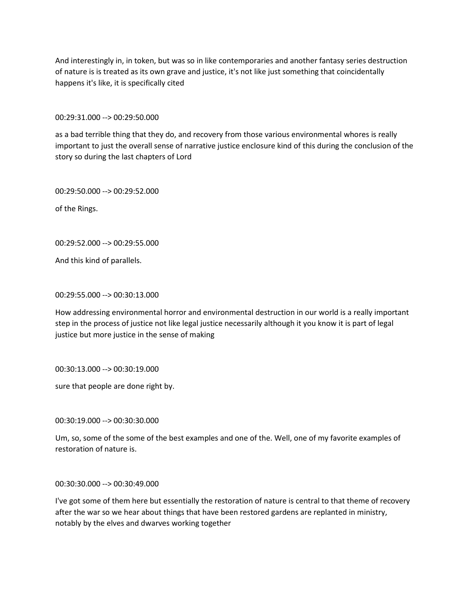And interestingly in, in token, but was so in like contemporaries and another fantasy series destruction of nature is is treated as its own grave and justice, it's not like just something that coincidentally happens it's like, it is specifically cited

00:29:31.000 --> 00:29:50.000

as a bad terrible thing that they do, and recovery from those various environmental whores is really important to just the overall sense of narrative justice enclosure kind of this during the conclusion of the story so during the last chapters of Lord

00:29:50.000 --> 00:29:52.000

of the Rings.

00:29:52.000 --> 00:29:55.000

And this kind of parallels.

00:29:55.000 --> 00:30:13.000

How addressing environmental horror and environmental destruction in our world is a really important step in the process of justice not like legal justice necessarily although it you know it is part of legal justice but more justice in the sense of making

00:30:13.000 --> 00:30:19.000

sure that people are done right by.

00:30:19.000 --> 00:30:30.000

Um, so, some of the some of the best examples and one of the. Well, one of my favorite examples of restoration of nature is.

00:30:30.000 --> 00:30:49.000

I've got some of them here but essentially the restoration of nature is central to that theme of recovery after the war so we hear about things that have been restored gardens are replanted in ministry, notably by the elves and dwarves working together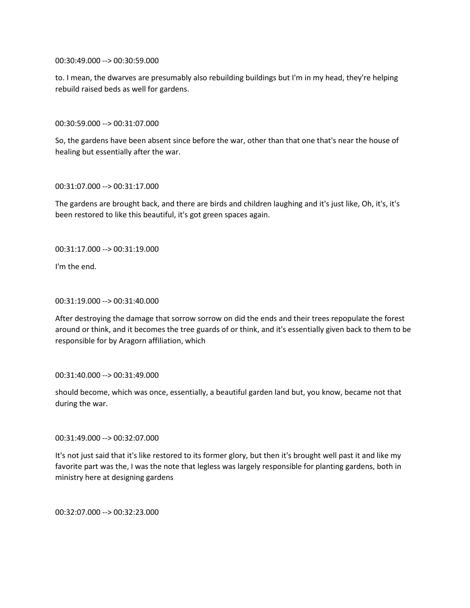00:30:49.000 --> 00:30:59.000

to. I mean, the dwarves are presumably also rebuilding buildings but I'm in my head, they're helping rebuild raised beds as well for gardens.

00:30:59.000 --> 00:31:07.000

So, the gardens have been absent since before the war, other than that one that's near the house of healing but essentially after the war.

00:31:07.000 --> 00:31:17.000

The gardens are brought back, and there are birds and children laughing and it's just like, Oh, it's, it's been restored to like this beautiful, it's got green spaces again.

00:31:17.000 --> 00:31:19.000

I'm the end.

00:31:19.000 --> 00:31:40.000

After destroying the damage that sorrow sorrow on did the ends and their trees repopulate the forest around or think, and it becomes the tree guards of or think, and it's essentially given back to them to be responsible for by Aragorn affiliation, which

00:31:40.000 --> 00:31:49.000

should become, which was once, essentially, a beautiful garden land but, you know, became not that during the war.

00:31:49.000 --> 00:32:07.000

It's not just said that it's like restored to its former glory, but then it's brought well past it and like my favorite part was the, I was the note that legless was largely responsible for planting gardens, both in ministry here at designing gardens

00:32:07.000 --> 00:32:23.000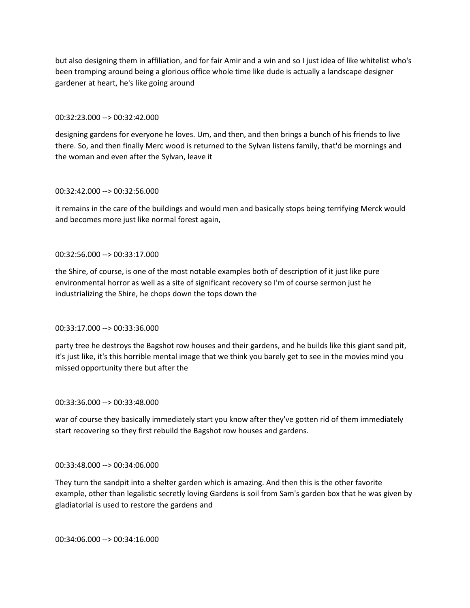but also designing them in affiliation, and for fair Amir and a win and so I just idea of like whitelist who's been tromping around being a glorious office whole time like dude is actually a landscape designer gardener at heart, he's like going around

### 00:32:23.000 --> 00:32:42.000

designing gardens for everyone he loves. Um, and then, and then brings a bunch of his friends to live there. So, and then finally Merc wood is returned to the Sylvan listens family, that'd be mornings and the woman and even after the Sylvan, leave it

## 00:32:42.000 --> 00:32:56.000

it remains in the care of the buildings and would men and basically stops being terrifying Merck would and becomes more just like normal forest again,

## 00:32:56.000 --> 00:33:17.000

the Shire, of course, is one of the most notable examples both of description of it just like pure environmental horror as well as a site of significant recovery so I'm of course sermon just he industrializing the Shire, he chops down the tops down the

# 00:33:17.000 --> 00:33:36.000

party tree he destroys the Bagshot row houses and their gardens, and he builds like this giant sand pit, it's just like, it's this horrible mental image that we think you barely get to see in the movies mind you missed opportunity there but after the

### 00:33:36.000 --> 00:33:48.000

war of course they basically immediately start you know after they've gotten rid of them immediately start recovering so they first rebuild the Bagshot row houses and gardens.

### 00:33:48.000 --> 00:34:06.000

They turn the sandpit into a shelter garden which is amazing. And then this is the other favorite example, other than legalistic secretly loving Gardens is soil from Sam's garden box that he was given by gladiatorial is used to restore the gardens and

00:34:06.000 --> 00:34:16.000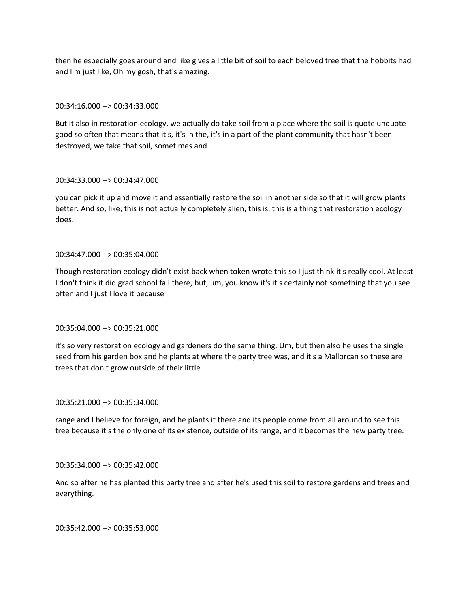then he especially goes around and like gives a little bit of soil to each beloved tree that the hobbits had and I'm just like, Oh my gosh, that's amazing.

## 00:34:16.000 --> 00:34:33.000

But it also in restoration ecology, we actually do take soil from a place where the soil is quote unquote good so often that means that it's, it's in the, it's in a part of the plant community that hasn't been destroyed, we take that soil, sometimes and

## 00:34:33.000 --> 00:34:47.000

you can pick it up and move it and essentially restore the soil in another side so that it will grow plants better. And so, like, this is not actually completely alien, this is, this is a thing that restoration ecology does.

## 00:34:47.000 --> 00:35:04.000

Though restoration ecology didn't exist back when token wrote this so I just think it's really cool. At least I don't think it did grad school fail there, but, um, you know it's it's certainly not something that you see often and I just I love it because

# 00:35:04.000 --> 00:35:21.000

it's so very restoration ecology and gardeners do the same thing. Um, but then also he uses the single seed from his garden box and he plants at where the party tree was, and it's a Mallorcan so these are trees that don't grow outside of their little

### 00:35:21.000 --> 00:35:34.000

range and I believe for foreign, and he plants it there and its people come from all around to see this tree because it's the only one of its existence, outside of its range, and it becomes the new party tree.

### 00:35:34.000 --> 00:35:42.000

And so after he has planted this party tree and after he's used this soil to restore gardens and trees and everything.

00:35:42.000 --> 00:35:53.000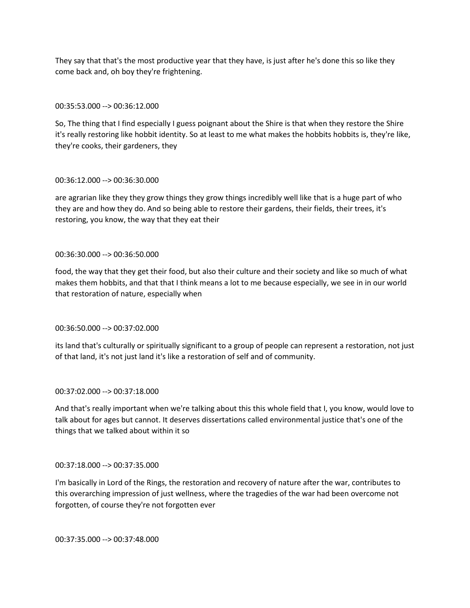They say that that's the most productive year that they have, is just after he's done this so like they come back and, oh boy they're frightening.

## 00:35:53.000 --> 00:36:12.000

So, The thing that I find especially I guess poignant about the Shire is that when they restore the Shire it's really restoring like hobbit identity. So at least to me what makes the hobbits hobbits is, they're like, they're cooks, their gardeners, they

## 00:36:12.000 --> 00:36:30.000

are agrarian like they they grow things they grow things incredibly well like that is a huge part of who they are and how they do. And so being able to restore their gardens, their fields, their trees, it's restoring, you know, the way that they eat their

## 00:36:30.000 --> 00:36:50.000

food, the way that they get their food, but also their culture and their society and like so much of what makes them hobbits, and that that I think means a lot to me because especially, we see in in our world that restoration of nature, especially when

# 00:36:50.000 --> 00:37:02.000

its land that's culturally or spiritually significant to a group of people can represent a restoration, not just of that land, it's not just land it's like a restoration of self and of community.

# 00:37:02.000 --> 00:37:18.000

And that's really important when we're talking about this this whole field that I, you know, would love to talk about for ages but cannot. It deserves dissertations called environmental justice that's one of the things that we talked about within it so

### 00:37:18.000 --> 00:37:35.000

I'm basically in Lord of the Rings, the restoration and recovery of nature after the war, contributes to this overarching impression of just wellness, where the tragedies of the war had been overcome not forgotten, of course they're not forgotten ever

00:37:35.000 --> 00:37:48.000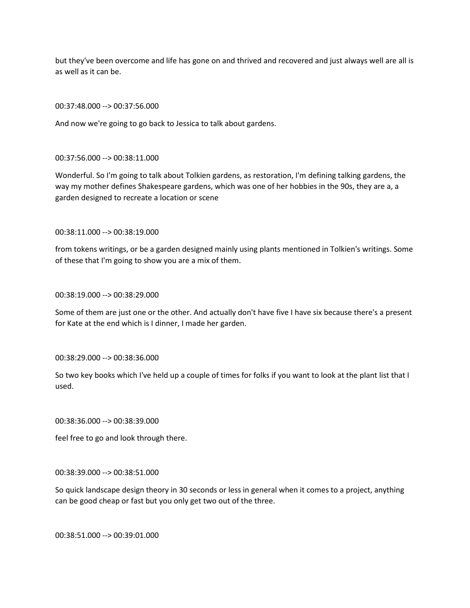but they've been overcome and life has gone on and thrived and recovered and just always well are all is as well as it can be.

00:37:48.000 --> 00:37:56.000

And now we're going to go back to Jessica to talk about gardens.

#### 00:37:56.000 --> 00:38:11.000

Wonderful. So I'm going to talk about Tolkien gardens, as restoration, I'm defining talking gardens, the way my mother defines Shakespeare gardens, which was one of her hobbies in the 90s, they are a, a garden designed to recreate a location or scene

## 00:38:11.000 --> 00:38:19.000

from tokens writings, or be a garden designed mainly using plants mentioned in Tolkien's writings. Some of these that I'm going to show you are a mix of them.

00:38:19.000 --> 00:38:29.000

Some of them are just one or the other. And actually don't have five I have six because there's a present for Kate at the end which is I dinner, I made her garden.

#### 00:38:29.000 --> 00:38:36.000

So two key books which I've held up a couple of times for folks if you want to look at the plant list that I used.

00:38:36.000 --> 00:38:39.000

feel free to go and look through there.

00:38:39.000 --> 00:38:51.000

So quick landscape design theory in 30 seconds or less in general when it comes to a project, anything can be good cheap or fast but you only get two out of the three.

00:38:51.000 --> 00:39:01.000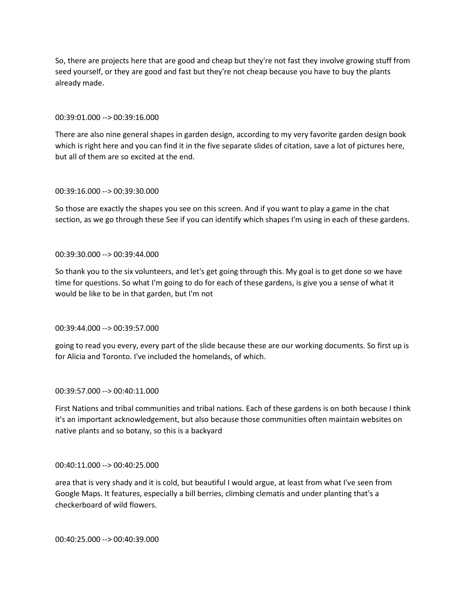So, there are projects here that are good and cheap but they're not fast they involve growing stuff from seed yourself, or they are good and fast but they're not cheap because you have to buy the plants already made.

### 00:39:01.000 --> 00:39:16.000

There are also nine general shapes in garden design, according to my very favorite garden design book which is right here and you can find it in the five separate slides of citation, save a lot of pictures here, but all of them are so excited at the end.

## 00:39:16.000 --> 00:39:30.000

So those are exactly the shapes you see on this screen. And if you want to play a game in the chat section, as we go through these See if you can identify which shapes I'm using in each of these gardens.

## 00:39:30.000 --> 00:39:44.000

So thank you to the six volunteers, and let's get going through this. My goal is to get done so we have time for questions. So what I'm going to do for each of these gardens, is give you a sense of what it would be like to be in that garden, but I'm not

# 00:39:44.000 --> 00:39:57.000

going to read you every, every part of the slide because these are our working documents. So first up is for Alicia and Toronto. I've included the homelands, of which.

# 00:39:57.000 --> 00:40:11.000

First Nations and tribal communities and tribal nations. Each of these gardens is on both because I think it's an important acknowledgement, but also because those communities often maintain websites on native plants and so botany, so this is a backyard

### 00:40:11.000 --> 00:40:25.000

area that is very shady and it is cold, but beautiful I would argue, at least from what I've seen from Google Maps. It features, especially a bill berries, climbing clematis and under planting that's a checkerboard of wild flowers.

00:40:25.000 --> 00:40:39.000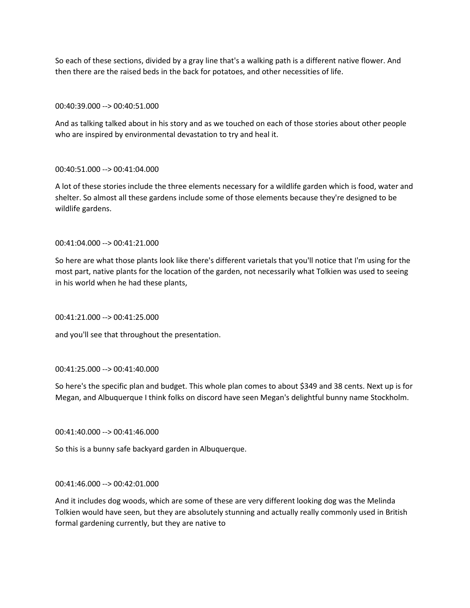So each of these sections, divided by a gray line that's a walking path is a different native flower. And then there are the raised beds in the back for potatoes, and other necessities of life.

## 00:40:39.000 --> 00:40:51.000

And as talking talked about in his story and as we touched on each of those stories about other people who are inspired by environmental devastation to try and heal it.

## 00:40:51.000 --> 00:41:04.000

A lot of these stories include the three elements necessary for a wildlife garden which is food, water and shelter. So almost all these gardens include some of those elements because they're designed to be wildlife gardens.

## 00:41:04.000 --> 00:41:21.000

So here are what those plants look like there's different varietals that you'll notice that I'm using for the most part, native plants for the location of the garden, not necessarily what Tolkien was used to seeing in his world when he had these plants,

00:41:21.000 --> 00:41:25.000

and you'll see that throughout the presentation.

### 00:41:25.000 --> 00:41:40.000

So here's the specific plan and budget. This whole plan comes to about \$349 and 38 cents. Next up is for Megan, and Albuquerque I think folks on discord have seen Megan's delightful bunny name Stockholm.

### 00:41:40.000 --> 00:41:46.000

So this is a bunny safe backyard garden in Albuquerque.

### 00:41:46.000 --> 00:42:01.000

And it includes dog woods, which are some of these are very different looking dog was the Melinda Tolkien would have seen, but they are absolutely stunning and actually really commonly used in British formal gardening currently, but they are native to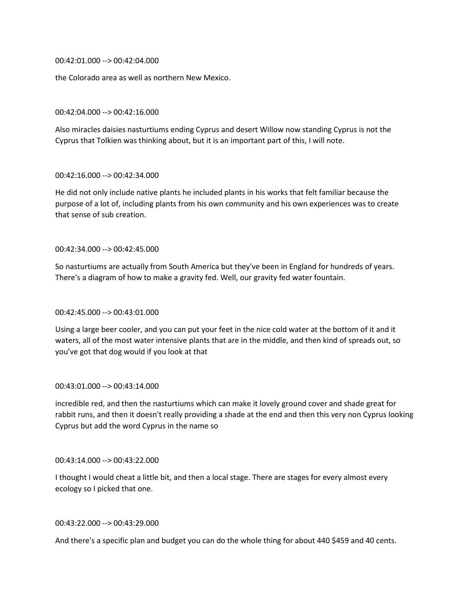00:42:01.000 --> 00:42:04.000

the Colorado area as well as northern New Mexico.

00:42:04.000 --> 00:42:16.000

Also miracles daisies nasturtiums ending Cyprus and desert Willow now standing Cyprus is not the Cyprus that Tolkien was thinking about, but it is an important part of this, I will note.

## 00:42:16.000 --> 00:42:34.000

He did not only include native plants he included plants in his works that felt familiar because the purpose of a lot of, including plants from his own community and his own experiences was to create that sense of sub creation.

## 00:42:34.000 --> 00:42:45.000

So nasturtiums are actually from South America but they've been in England for hundreds of years. There's a diagram of how to make a gravity fed. Well, our gravity fed water fountain.

# 00:42:45.000 --> 00:43:01.000

Using a large beer cooler, and you can put your feet in the nice cold water at the bottom of it and it waters, all of the most water intensive plants that are in the middle, and then kind of spreads out, so you've got that dog would if you look at that

### 00:43:01.000 --> 00:43:14.000

incredible red, and then the nasturtiums which can make it lovely ground cover and shade great for rabbit runs, and then it doesn't really providing a shade at the end and then this very non Cyprus looking Cyprus but add the word Cyprus in the name so

### 00:43:14.000 --> 00:43:22.000

I thought I would cheat a little bit, and then a local stage. There are stages for every almost every ecology so I picked that one.

# 00:43:22.000 --> 00:43:29.000

And there's a specific plan and budget you can do the whole thing for about 440 \$459 and 40 cents.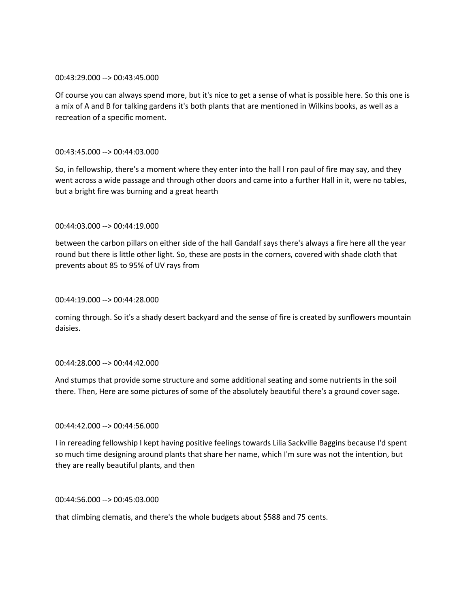### 00:43:29.000 --> 00:43:45.000

Of course you can always spend more, but it's nice to get a sense of what is possible here. So this one is a mix of A and B for talking gardens it's both plants that are mentioned in Wilkins books, as well as a recreation of a specific moment.

# 00:43:45.000 --> 00:44:03.000

So, in fellowship, there's a moment where they enter into the hall l ron paul of fire may say, and they went across a wide passage and through other doors and came into a further Hall in it, were no tables, but a bright fire was burning and a great hearth

# 00:44:03.000 --> 00:44:19.000

between the carbon pillars on either side of the hall Gandalf says there's always a fire here all the year round but there is little other light. So, these are posts in the corners, covered with shade cloth that prevents about 85 to 95% of UV rays from

# 00:44:19.000 --> 00:44:28.000

coming through. So it's a shady desert backyard and the sense of fire is created by sunflowers mountain daisies.

# 00:44:28.000 --> 00:44:42.000

And stumps that provide some structure and some additional seating and some nutrients in the soil there. Then, Here are some pictures of some of the absolutely beautiful there's a ground cover sage.

# 00:44:42.000 --> 00:44:56.000

I in rereading fellowship I kept having positive feelings towards Lilia Sackville Baggins because I'd spent so much time designing around plants that share her name, which I'm sure was not the intention, but they are really beautiful plants, and then

### 00:44:56.000 --> 00:45:03.000

that climbing clematis, and there's the whole budgets about \$588 and 75 cents.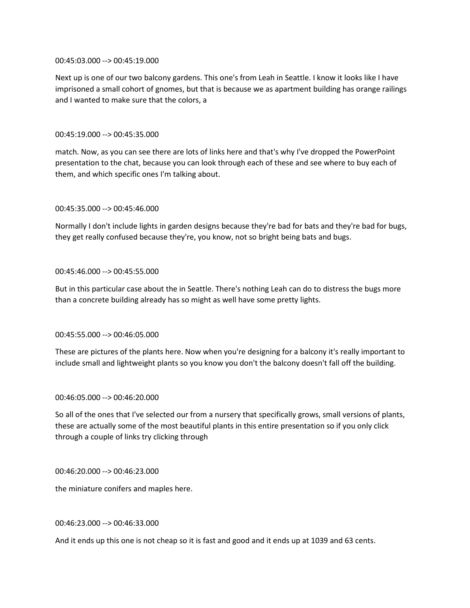### 00:45:03.000 --> 00:45:19.000

Next up is one of our two balcony gardens. This one's from Leah in Seattle. I know it looks like I have imprisoned a small cohort of gnomes, but that is because we as apartment building has orange railings and I wanted to make sure that the colors, a

## 00:45:19.000 --> 00:45:35.000

match. Now, as you can see there are lots of links here and that's why I've dropped the PowerPoint presentation to the chat, because you can look through each of these and see where to buy each of them, and which specific ones I'm talking about.

## 00:45:35.000 --> 00:45:46.000

Normally I don't include lights in garden designs because they're bad for bats and they're bad for bugs, they get really confused because they're, you know, not so bright being bats and bugs.

## 00:45:46.000 --> 00:45:55.000

But in this particular case about the in Seattle. There's nothing Leah can do to distress the bugs more than a concrete building already has so might as well have some pretty lights.

### 00:45:55.000 --> 00:46:05.000

These are pictures of the plants here. Now when you're designing for a balcony it's really important to include small and lightweight plants so you know you don't the balcony doesn't fall off the building.

### 00:46:05.000 --> 00:46:20.000

So all of the ones that I've selected our from a nursery that specifically grows, small versions of plants, these are actually some of the most beautiful plants in this entire presentation so if you only click through a couple of links try clicking through

### 00:46:20.000 --> 00:46:23.000

the miniature conifers and maples here.

# 00:46:23.000 --> 00:46:33.000

And it ends up this one is not cheap so it is fast and good and it ends up at 1039 and 63 cents.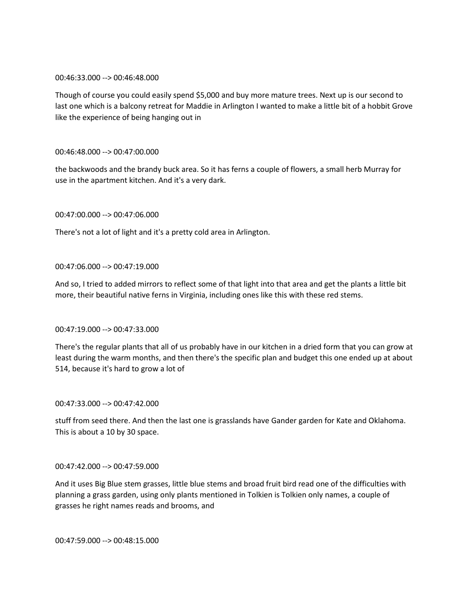### 00:46:33.000 --> 00:46:48.000

Though of course you could easily spend \$5,000 and buy more mature trees. Next up is our second to last one which is a balcony retreat for Maddie in Arlington I wanted to make a little bit of a hobbit Grove like the experience of being hanging out in

# 00:46:48.000 --> 00:47:00.000

the backwoods and the brandy buck area. So it has ferns a couple of flowers, a small herb Murray for use in the apartment kitchen. And it's a very dark.

# 00:47:00.000 --> 00:47:06.000

There's not a lot of light and it's a pretty cold area in Arlington.

## 00:47:06.000 --> 00:47:19.000

And so, I tried to added mirrors to reflect some of that light into that area and get the plants a little bit more, their beautiful native ferns in Virginia, including ones like this with these red stems.

## 00:47:19.000 --> 00:47:33.000

There's the regular plants that all of us probably have in our kitchen in a dried form that you can grow at least during the warm months, and then there's the specific plan and budget this one ended up at about 514, because it's hard to grow a lot of

### 00:47:33.000 --> 00:47:42.000

stuff from seed there. And then the last one is grasslands have Gander garden for Kate and Oklahoma. This is about a 10 by 30 space.

### 00:47:42.000 --> 00:47:59.000

And it uses Big Blue stem grasses, little blue stems and broad fruit bird read one of the difficulties with planning a grass garden, using only plants mentioned in Tolkien is Tolkien only names, a couple of grasses he right names reads and brooms, and

00:47:59.000 --> 00:48:15.000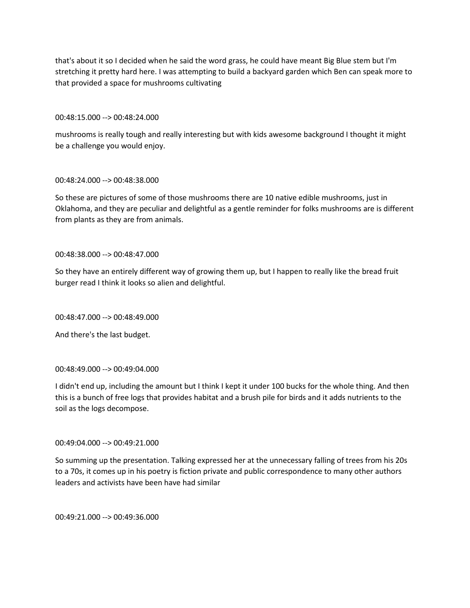that's about it so I decided when he said the word grass, he could have meant Big Blue stem but I'm stretching it pretty hard here. I was attempting to build a backyard garden which Ben can speak more to that provided a space for mushrooms cultivating

00:48:15.000 --> 00:48:24.000

mushrooms is really tough and really interesting but with kids awesome background I thought it might be a challenge you would enjoy.

### 00:48:24.000 --> 00:48:38.000

So these are pictures of some of those mushrooms there are 10 native edible mushrooms, just in Oklahoma, and they are peculiar and delightful as a gentle reminder for folks mushrooms are is different from plants as they are from animals.

## 00:48:38.000 --> 00:48:47.000

So they have an entirely different way of growing them up, but I happen to really like the bread fruit burger read I think it looks so alien and delightful.

00:48:47.000 --> 00:48:49.000

And there's the last budget.

# 00:48:49.000 --> 00:49:04.000

I didn't end up, including the amount but I think I kept it under 100 bucks for the whole thing. And then this is a bunch of free logs that provides habitat and a brush pile for birds and it adds nutrients to the soil as the logs decompose.

# 00:49:04.000 --> 00:49:21.000

So summing up the presentation. Talking expressed her at the unnecessary falling of trees from his 20s to a 70s, it comes up in his poetry is fiction private and public correspondence to many other authors leaders and activists have been have had similar

00:49:21.000 --> 00:49:36.000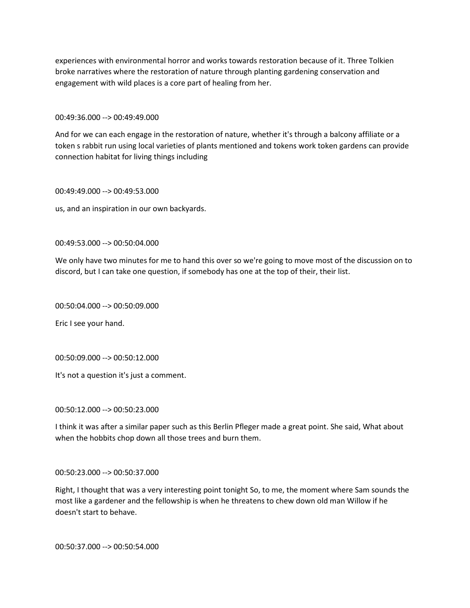experiences with environmental horror and works towards restoration because of it. Three Tolkien broke narratives where the restoration of nature through planting gardening conservation and engagement with wild places is a core part of healing from her.

00:49:36.000 --> 00:49:49.000

And for we can each engage in the restoration of nature, whether it's through a balcony affiliate or a token s rabbit run using local varieties of plants mentioned and tokens work token gardens can provide connection habitat for living things including

00:49:49.000 --> 00:49:53.000

us, and an inspiration in our own backyards.

00:49:53.000 --> 00:50:04.000

We only have two minutes for me to hand this over so we're going to move most of the discussion on to discord, but I can take one question, if somebody has one at the top of their, their list.

00:50:04.000 --> 00:50:09.000

Eric I see your hand.

00:50:09.000 --> 00:50:12.000

It's not a question it's just a comment.

00:50:12.000 --> 00:50:23.000

I think it was after a similar paper such as this Berlin Pfleger made a great point. She said, What about when the hobbits chop down all those trees and burn them.

00:50:23.000 --> 00:50:37.000

Right, I thought that was a very interesting point tonight So, to me, the moment where Sam sounds the most like a gardener and the fellowship is when he threatens to chew down old man Willow if he doesn't start to behave.

00:50:37.000 --> 00:50:54.000